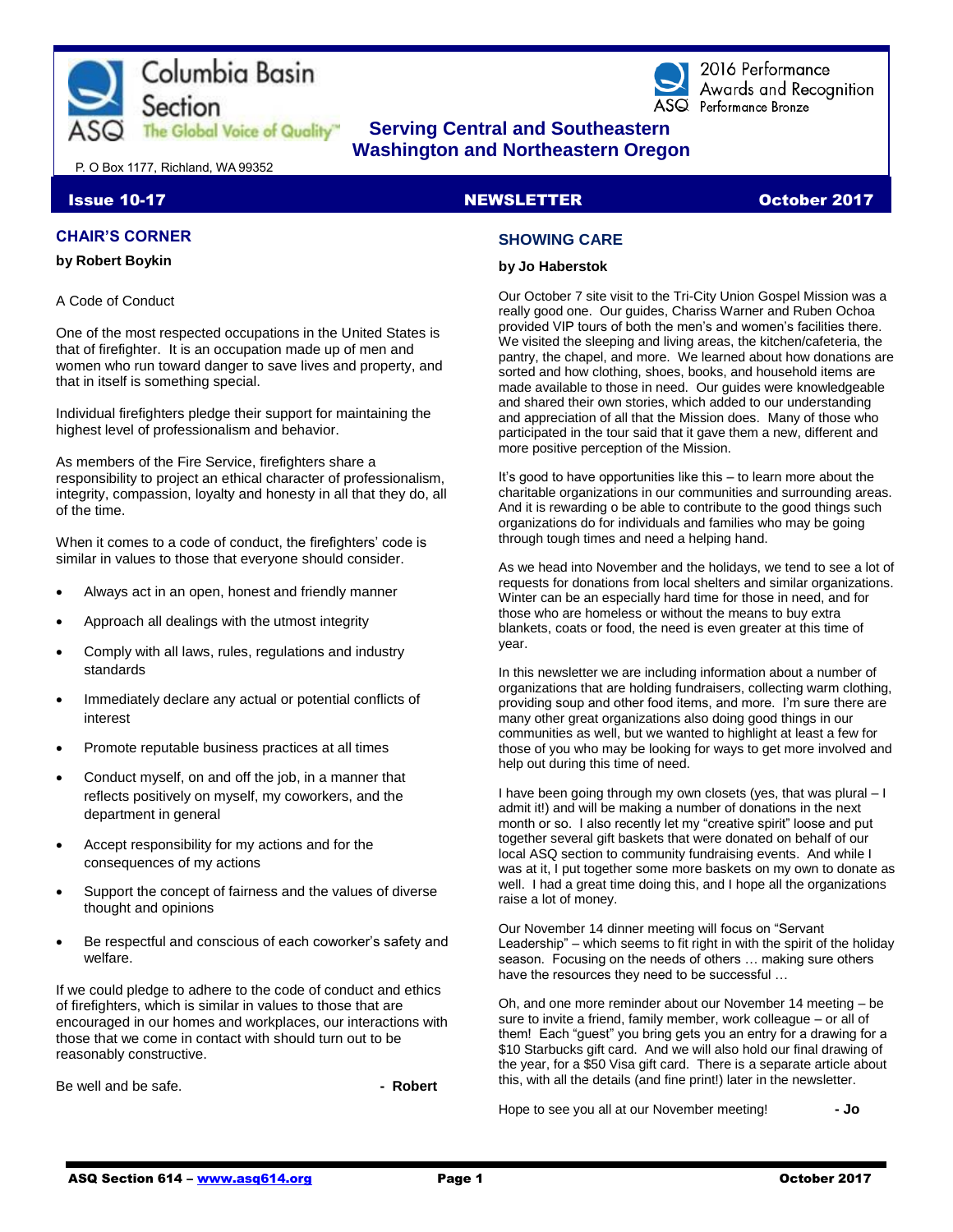



2016 Performance Awards and Recoanition ASQ Performance Bronze

# **The Global Voice of Quality"** Serving Central and Southeastern  **Washington and Northeastern Oregon**

P. O Box 1177, Richland, WA 99352

#### Issue 10-17 NEWSLETTER October 2017

#### **CHAIR'S CORNER**

#### **by Robert Boykin**

#### A Code of Conduct

One of the most respected occupations in the United States is that of firefighter. It is an occupation made up of men and women who run toward danger to save lives and property, and that in itself is something special.

Individual firefighters pledge their support for maintaining the highest level of professionalism and behavior.

As members of the Fire Service, firefighters share a responsibility to project an ethical character of professionalism, integrity, compassion, loyalty and honesty in all that they do, all of the time.

When it comes to a code of conduct, the firefighters' code is similar in values to those that everyone should consider.

- Always act in an open, honest and friendly manner
- Approach all dealings with the utmost integrity
- Comply with all laws, rules, regulations and industry standards
- Immediately declare any actual or potential conflicts of interest
- Promote reputable business practices at all times
- Conduct myself, on and off the job, in a manner that reflects positively on myself, my coworkers, and the department in general
- Accept responsibility for my actions and for the consequences of my actions
- Support the concept of fairness and the values of diverse thought and opinions
- Be respectful and conscious of each coworker's safety and welfare.

If we could pledge to adhere to the code of conduct and ethics of firefighters, which is similar in values to those that are encouraged in our homes and workplaces, our interactions with those that we come in contact with should turn out to be reasonably constructive.

Be well and be safe. **- All and be safe.** All and be safe.

# **SHOWING CARE**

#### **by Jo Haberstok**

Our October 7 site visit to the Tri-City Union Gospel Mission was a really good one. Our guides, Chariss Warner and Ruben Ochoa provided VIP tours of both the men's and women's facilities there. We visited the sleeping and living areas, the kitchen/cafeteria, the pantry, the chapel, and more. We learned about how donations are sorted and how clothing, shoes, books, and household items are made available to those in need. Our guides were knowledgeable and shared their own stories, which added to our understanding and appreciation of all that the Mission does. Many of those who participated in the tour said that it gave them a new, different and more positive perception of the Mission.

It's good to have opportunities like this – to learn more about the charitable organizations in our communities and surrounding areas. And it is rewarding o be able to contribute to the good things such organizations do for individuals and families who may be going through tough times and need a helping hand.

As we head into November and the holidays, we tend to see a lot of requests for donations from local shelters and similar organizations. Winter can be an especially hard time for those in need, and for those who are homeless or without the means to buy extra blankets, coats or food, the need is even greater at this time of year.

In this newsletter we are including information about a number of organizations that are holding fundraisers, collecting warm clothing, providing soup and other food items, and more. I'm sure there are many other great organizations also doing good things in our communities as well, but we wanted to highlight at least a few for those of you who may be looking for ways to get more involved and help out during this time of need.

I have been going through my own closets (yes, that was plural – I admit it!) and will be making a number of donations in the next month or so. I also recently let my "creative spirit" loose and put together several gift baskets that were donated on behalf of our local ASQ section to community fundraising events. And while I was at it, I put together some more baskets on my own to donate as well. I had a great time doing this, and I hope all the organizations raise a lot of money.

Our November 14 dinner meeting will focus on "Servant Leadership" – which seems to fit right in with the spirit of the holiday season. Focusing on the needs of others … making sure others have the resources they need to be successful …

Oh, and one more reminder about our November 14 meeting – be sure to invite a friend, family member, work colleague – or all of them! Each "guest" you bring gets you an entry for a drawing for a \$10 Starbucks gift card. And we will also hold our final drawing of the year, for a \$50 Visa gift card. There is a separate article about this, with all the details (and fine print!) later in the newsletter.

Hope to see you all at our November meeting! **- Jo**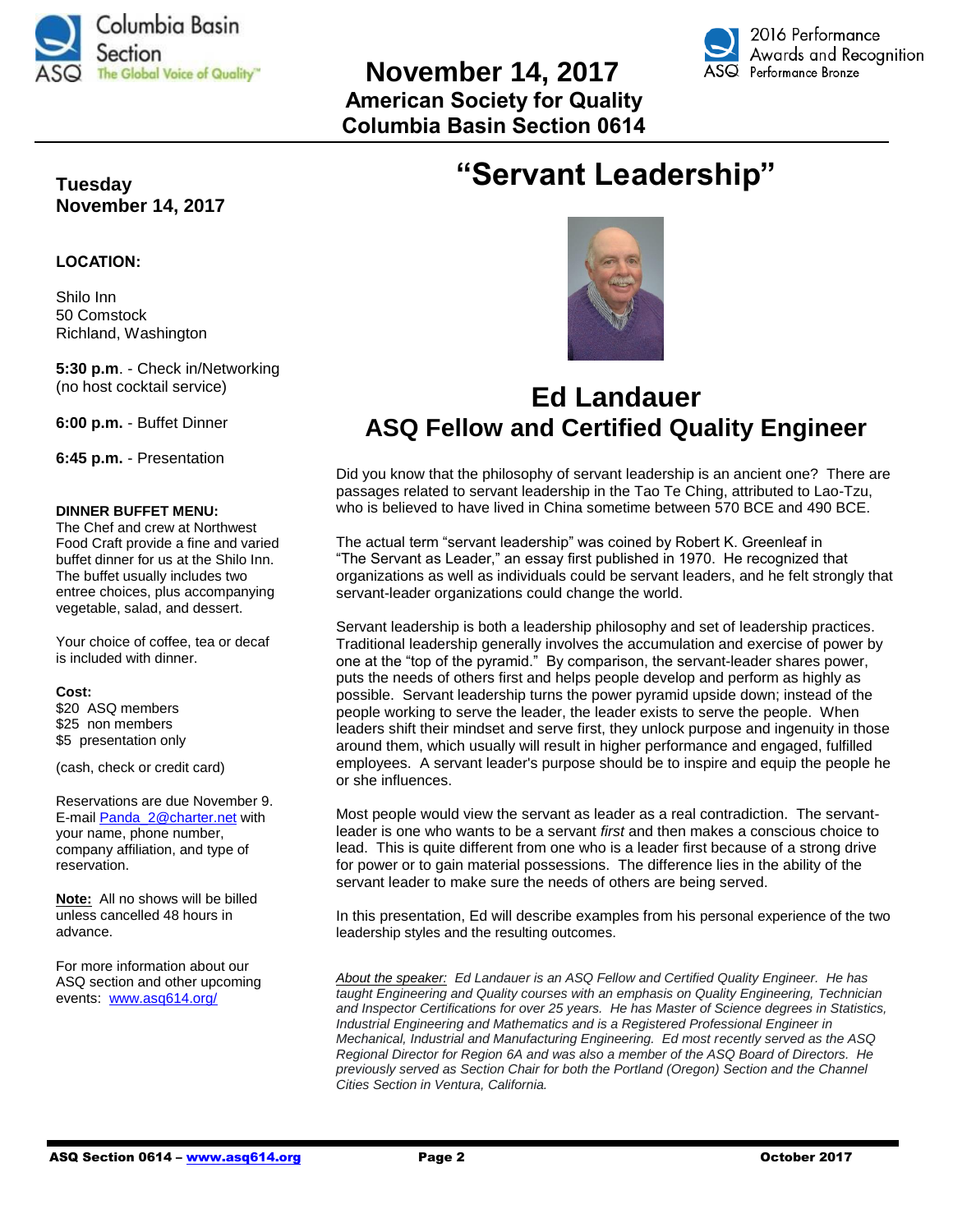

# **November 14, 2017 American Society for Quality Columbia Basin Section 0614**



# **Tuesday November 14, 2017**

#### **LOCATION:**

Shilo Inn 50 Comstock Richland, Washington

**5:30 p.m**. - Check in/Networking (no host cocktail service)

**6:00 p.m.** - Buffet Dinner

**6:45 p.m.** - Presentation

#### **DINNER BUFFET MENU:**

The Chef and crew at Northwest Food Craft provide a fine and varied buffet dinner for us at the Shilo Inn. The buffet usually includes two entree choices, plus accompanying vegetable, salad, and dessert.

Your choice of coffee, tea or decaf is included with dinner.

#### **Cost:**

\$20 ASQ members \$25 non members \$5 presentation only

(cash, check or credit card)

Reservations are due November 9. E-mail [Panda\\_2@charter.net](mailto:Panda_2@charter.net) with your name, phone number, company affiliation, and type of reservation.

**Note:** All no shows will be billed unless cancelled 48 hours in advance.

For more information about our ASQ section and other upcoming events: [www.asq614.org/](http://www.asq614.org/)





# **Ed Landauer ASQ Fellow and Certified Quality Engineer**

Did you know that the philosophy of servant leadership is an ancient one? There are passages related to servant leadership in the Tao Te Ching, attributed to Lao-Tzu, who is believed to have lived in China sometime between 570 BCE and 490 BCE.

The actual term "servant leadership" was coined by Robert K. Greenleaf in "The Servant as Leader," an essay first published in 1970. He recognized that organizations as well as individuals could be servant leaders, and he felt strongly that servant-leader organizations could change the world.

Servant leadership is both a leadership philosophy and set of leadership practices. Traditional leadership generally involves the accumulation and exercise of power by one at the "top of the pyramid." By comparison, the servant-leader shares power, puts the needs of others first and helps people develop and perform as highly as possible. Servant leadership turns the power pyramid upside down; instead of the people working to serve the leader, the leader exists to serve the people. When leaders shift their mindset and serve first, they unlock purpose and ingenuity in those around them, which usually will result in higher performance and engaged, fulfilled employees. A servant leader's purpose should be to inspire and equip the people he or she influences.

Most people would view the servant as leader as a real contradiction. The servantleader is one who wants to be a servant *first* and then makes a conscious choice to lead. This is quite different from one who is a leader first because of a strong drive for power or to gain material possessions. The difference lies in the ability of the servant leader to make sure the needs of others are being served.

In this presentation, Ed will describe examples from his personal experience of the two leadership styles and the resulting outcomes.

*About the speaker: Ed Landauer is an ASQ Fellow and Certified Quality Engineer. He has taught Engineering and Quality courses with an emphasis on Quality Engineering, Technician and Inspector Certifications for over 25 years. He has Master of Science degrees in Statistics, Industrial Engineering and Mathematics and is a Registered Professional Engineer in Mechanical, Industrial and Manufacturing Engineering. Ed most recently served as the ASQ Regional Director for Region 6A and was also a member of the ASQ Board of Directors. He previously served as Section Chair for both the Portland (Oregon) Section and the Channel Cities Section in Ventura, California.*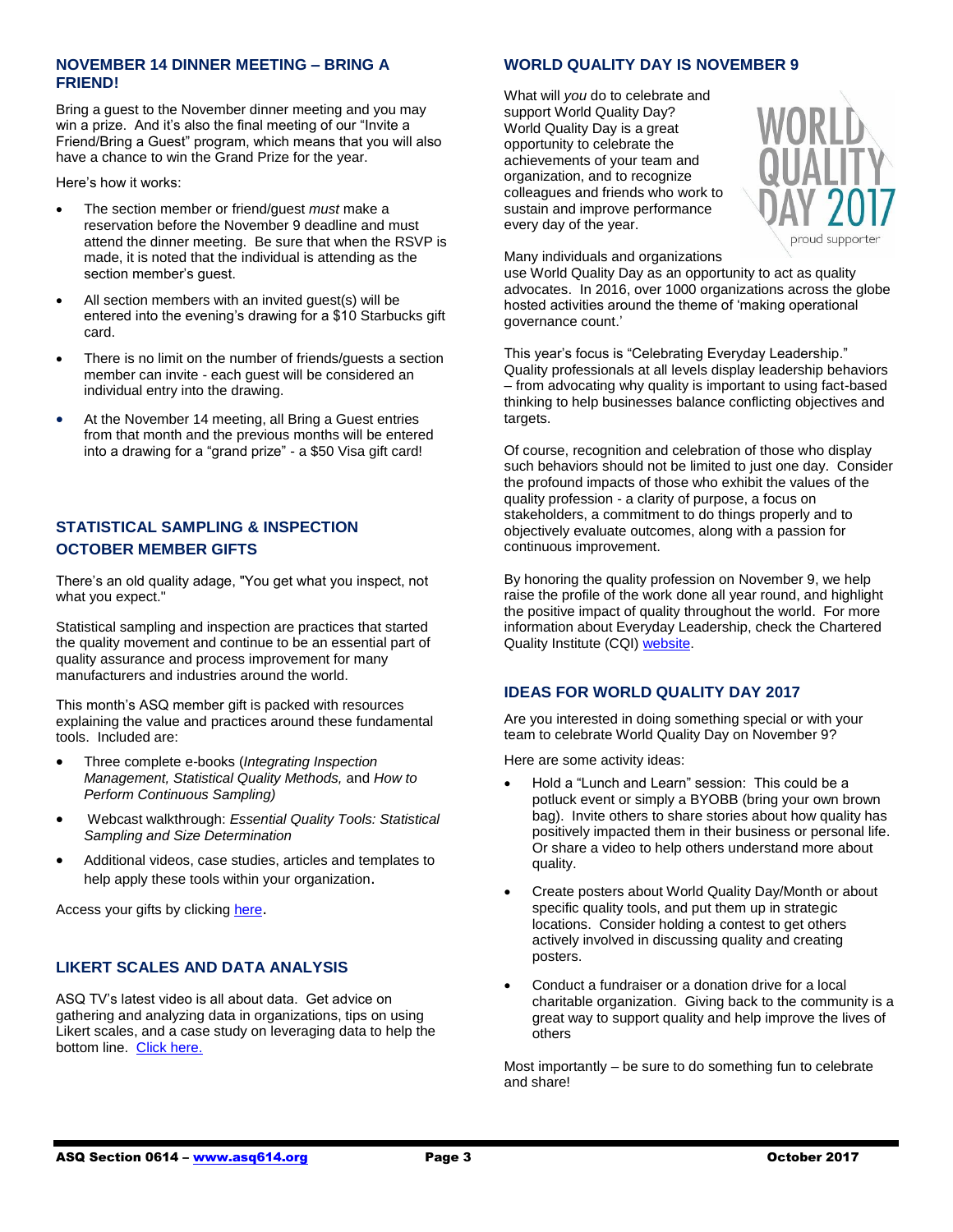#### **NOVEMBER 14 DINNER MEETING – BRING A FRIEND!**

Bring a guest to the November dinner meeting and you may win a prize. And it's also the final meeting of our "Invite a Friend/Bring a Guest" program, which means that you will also have a chance to win the Grand Prize for the year.

Here's how it works:

- The section member or friend/guest *must* make a reservation before the November 9 deadline and must attend the dinner meeting. Be sure that when the RSVP is made, it is noted that the individual is attending as the section member's guest.
- All section members with an invited guest(s) will be entered into the evening's drawing for a \$10 Starbucks gift card.
- There is no limit on the number of friends/guests a section member can invite - each guest will be considered an individual entry into the drawing.
- At the November 14 meeting, all Bring a Guest entries from that month and the previous months will be entered into a drawing for a "grand prize" - a \$50 Visa gift card!

# **STATISTICAL SAMPLING & INSPECTION OCTOBER MEMBER GIFTS**

There's an old quality adage, "You get what you inspect, not what you expect."

Statistical sampling and inspection are practices that started the quality movement and continue to be an essential part of quality assurance and process improvement for many manufacturers and industries around the world.

This month's ASQ member gift is packed with resources explaining the value and practices around these fundamental tools. Included are:

- Three complete e-books (*Integrating Inspection Management, Statistical Quality Methods,* and *How to Perform Continuous Sampling)*
- Webcast walkthrough: *Essential Quality Tools: Statistical Sampling and Size Determination*
- Additional videos, case studies, articles and templates to help apply these tools within your organization.

Access your gifts by clickin[g here](http://asq.org/membership/members/gift/).

# **LIKERT SCALES AND DATA ANALYSIS**

ASQ TV's latest video is all about data. Get advice on gathering and analyzing data in organizations, tips on using Likert scales, and a case study on leveraging data to help the bottom line. [Click here.](http://videos.asq.org/likert-scales-and-data-analysis?utm_campaign=communications_insider%20_10042017)

#### **WORLD QUALITY DAY IS NOVEMBER 9**

What will *you* do to celebrate and support World Quality Day? World Quality Day is a great opportunity to celebrate the achievements of your team and organization, and to recognize colleagues and friends who work to sustain and improve performance every day of the year.



Many individuals and organizations

use World Quality Day as an opportunity to act as quality advocates. In 2016, over 1000 organizations across the globe hosted activities around the theme of 'making operational governance count.'

This year's focus is "Celebrating Everyday Leadership." Quality professionals at all levels display leadership behaviors – from advocating why quality is important to using fact-based thinking to help businesses balance conflicting objectives and targets.

Of course, recognition and celebration of those who display such behaviors should not be limited to just one day. Consider the profound impacts of those who exhibit the values of the quality profession - a clarity of purpose, a focus on stakeholders, a commitment to do things properly and to objectively evaluate outcomes, along with a passion for continuous improvement.

By honoring the quality profession on November 9, we help raise the profile of the work done all year round, and highlight the positive impact of quality throughout the world. For more information about Everyday Leadership, check the Chartered Quality Institute (CQI) [website.](https://www.quality.org/world-quality-day-2017-celebrating-everyday-leadership)

## **IDEAS FOR WORLD QUALITY DAY 2017**

Are you interested in doing something special or with your team to celebrate World Quality Day on November 9?

Here are some activity ideas:

- Hold a "Lunch and Learn" session: This could be a potluck event or simply a BYOBB (bring your own brown bag). Invite others to share stories about how quality has positively impacted them in their business or personal life. Or share a video to help others understand more about quality.
- Create posters about World Quality Day/Month or about specific quality tools, and put them up in strategic locations. Consider holding a contest to get others actively involved in discussing quality and creating posters.
- Conduct a fundraiser or a donation drive for a local charitable organization. Giving back to the community is a great way to support quality and help improve the lives of others

Most importantly – be sure to do something fun to celebrate and share!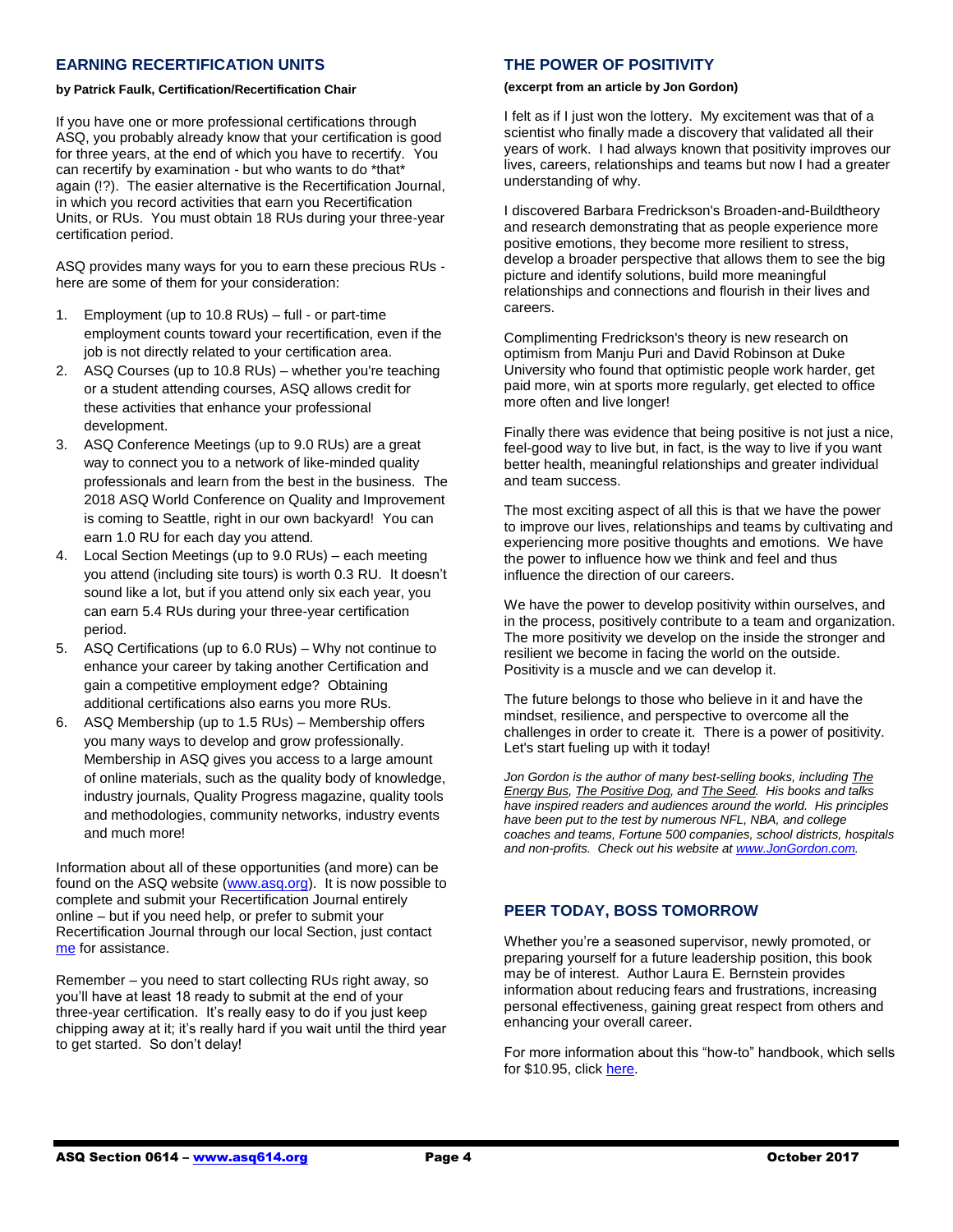#### **EARNING RECERTIFICATION UNITS**

#### **by Patrick Faulk, Certification/Recertification Chair**

If you have one or more professional certifications through ASQ, you probably already know that your certification is good for three years, at the end of which you have to recertify. You can recertify by examination - but who wants to do \*that\* again (!?). The easier alternative is the Recertification Journal, in which you record activities that earn you Recertification Units, or RUs. You must obtain 18 RUs during your three-year certification period.

ASQ provides many ways for you to earn these precious RUs here are some of them for your consideration:

- 1. Employment (up to 10.8 RUs) full or part-time employment counts toward your recertification, even if the job is not directly related to your certification area.
- 2. ASQ Courses (up to 10.8 RUs) whether you're teaching or a student attending courses, ASQ allows credit for these activities that enhance your professional development.
- 3. ASQ Conference Meetings (up to 9.0 RUs) are a great way to connect you to a network of like-minded quality professionals and learn from the best in the business. The 2018 ASQ World Conference on Quality and Improvement is coming to Seattle, right in our own backyard! You can earn 1.0 RU for each day you attend.
- 4. Local Section Meetings (up to 9.0 RUs) each meeting you attend (including site tours) is worth 0.3 RU. It doesn't sound like a lot, but if you attend only six each year, you can earn 5.4 RUs during your three-year certification period.
- 5. ASQ Certifications (up to 6.0 RUs) Why not continue to enhance your career by taking another Certification and gain a competitive employment edge? Obtaining additional certifications also earns you more RUs.
- 6. ASQ Membership (up to 1.5 RUs) Membership offers you many ways to develop and grow professionally. Membership in ASQ gives you access to a large amount of online materials, such as the quality body of knowledge, industry journals, Quality Progress magazine, quality tools and methodologies, community networks, industry events and much more!

Information about all of these opportunities (and more) can be found on the ASQ website [\(www.asq.org\)](http://www.asq.org/). It is now possible to complete and submit your Recertification Journal entirely online – but if you need help, or prefer to submit your Recertification Journal through our local Section, just contact [me](mailto:prfaulk@bechtel.com) for assistance.

Remember – you need to start collecting RUs right away, so you'll have at least 18 ready to submit at the end of your three-year certification. It's really easy to do if you just keep chipping away at it; it's really hard if you wait until the third year to get started. So don't delay!

# **THE POWER OF POSITIVITY**

#### **(excerpt from an article by Jon Gordon)**

I felt as if I just won the lottery. My excitement was that of a scientist who finally made a discovery that validated all their years of work. I had always known that positivity improves our lives, careers, relationships and teams but now I had a greater understanding of why.

I discovered Barbara Fredrickson's Broaden-and-Buildtheory and research demonstrating that as people experience more positive emotions, they become more resilient to stress, develop a broader perspective that allows them to see the big picture and identify solutions, build more meaningful relationships and connections and flourish in their lives and careers.

Complimenting Fredrickson's theory is new research on optimism from Manju Puri and David Robinson at Duke University who found that optimistic people work harder, get paid more, win at sports more regularly, get elected to office more often and live longer!

Finally there was evidence that being positive is not just a nice, feel-good way to live but, in fact, is the way to live if you want better health, meaningful relationships and greater individual and team success.

The most exciting aspect of all this is that we have the power to improve our lives, relationships and teams by cultivating and experiencing more positive thoughts and emotions. We have the power to influence how we think and feel and thus influence the direction of our careers.

We have the power to develop positivity within ourselves, and in the process, positively contribute to a team and organization. The more positivity we develop on the inside the stronger and resilient we become in facing the world on the outside. Positivity is a muscle and we can develop it.

The future belongs to those who believe in it and have the mindset, resilience, and perspective to overcome all the challenges in order to create it. There is a power of positivity. Let's start fueling up with it today!

*Jon Gordon is the author of many best-selling books, including The Energy Bus, The Positive Dog, and The Seed. His books and talks have inspired readers and audiences around the world. His principles have been put to the test by numerous NFL, NBA, and college coaches and teams, Fortune 500 companies, school districts, hospitals and non-profits. Check out his website at [www.JonGordon.com.](http://www.jongordon.com/)* 

# **PEER TODAY, BOSS TOMORROW**

Whether you're a seasoned supervisor, newly promoted, or preparing yourself for a future leadership position, this book may be of interest. Author Laura E. Bernstein provides information about reducing fears and frustrations, increasing personal effectiveness, gaining great respect from others and enhancing your overall career.

For more information about this "how-to" handbook, which sells for \$10.95, clic[k here.](http://www.walkthetalk.com/peer-today-boss-tomorrow.html?utm_source=Walk+the+Talk+Master+List&utm_campaign=868611b207-EMAIL_CAMPAIGN_2017_10_10&utm_medium=email&utm_term=0_46fccdf186-868611b207-86469245&mc_cid=868611b207&mc_eid=dba56c85a9)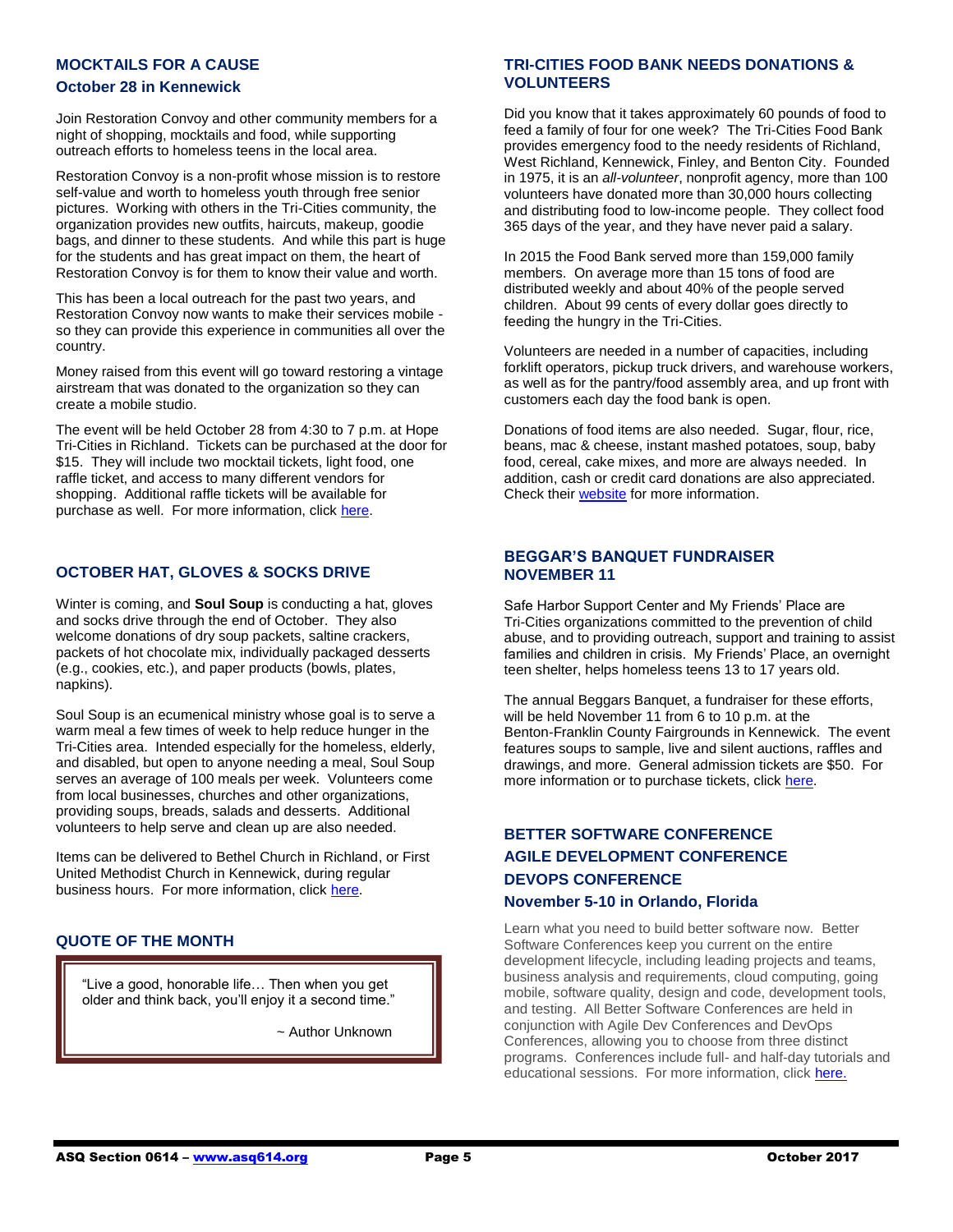#### **MOCKTAILS FOR A CAUSE**

#### **October 28 in Kennewick**

Join Restoration Convoy and other community members for a night of shopping, mocktails and food, while supporting outreach efforts to homeless teens in the local area.

Restoration Convoy is a non-profit whose mission is to restore self-value and worth to homeless youth through free senior pictures. Working with others in the Tri-Cities community, the organization provides new outfits, haircuts, makeup, goodie bags, and dinner to these students. And while this part is huge for the students and has great impact on them, the heart of Restoration Convoy is for them to know their value and worth.

This has been a local outreach for the past two years, and Restoration Convoy now wants to make their services mobile so they can provide this experience in communities all over the country.

Money raised from this event will go toward restoring a vintage airstream that was donated to the organization so they can create a mobile studio.

The event will be held October 28 from 4:30 to 7 p.m. at Hope Tri-Cities in Richland. Tickets can be purchased at the door for \$15. They will include two mocktail tickets, light food, one raffle ticket, and access to many different vendors for shopping. Additional raffle tickets will be available for purchase as well. For more information, click [here.](https://www.facebook.com/restorationconvoy/)

#### **OCTOBER HAT, GLOVES & SOCKS DRIVE**

Winter is coming, and **Soul Soup** is conducting a hat, gloves and socks drive through the end of October. They also welcome donations of dry soup packets, saltine crackers, packets of hot chocolate mix, individually packaged desserts (e.g., cookies, etc.), and paper products (bowls, plates, napkins).

Soul Soup is an ecumenical ministry whose goal is to serve a warm meal a few times of week to help reduce hunger in the Tri-Cities area. Intended especially for the homeless, elderly, and disabled, but open to anyone needing a meal, Soul Soup serves an average of 100 meals per week. Volunteers come from local businesses, churches and other organizations, providing soups, breads, salads and desserts. Additional volunteers to help serve and clean up are also needed.

Items can be delivered to Bethel Church in Richland, or First United Methodist Church in Kennewick, during regular business hours. For more information, click [here.](http://www.soulsouptricities.com/)

# **QUOTE OF THE MONTH**

"Live a good, honorable life… Then when you get older and think back, you'll enjoy it a second time."

~ Author Unknown

#### **TRI-CITIES FOOD BANK NEEDS DONATIONS & VOLUNTEERS**

Did you know that it takes approximately 60 pounds of food to feed a family of four for one week? The Tri-Cities Food Bank provides emergency food to the needy residents of Richland, West Richland, Kennewick, Finley, and Benton City. Founded in 1975, it is an *all-volunteer*, nonprofit agency, more than 100 volunteers have donated more than 30,000 hours collecting and distributing food to low-income people. They collect food 365 days of the year, and they have never paid a salary.

In 2015 the Food Bank served more than 159,000 family members. On average more than 15 tons of food are distributed weekly and about 40% of the people served children. About 99 cents of every dollar goes directly to feeding the hungry in the Tri-Cities.

Volunteers are needed in a number of capacities, including forklift operators, pickup truck drivers, and warehouse workers, as well as for the pantry/food assembly area, and up front with customers each day the food bank is open.

Donations of food items are also needed. Sugar, flour, rice, beans, mac & cheese, instant mashed potatoes, soup, baby food, cereal, cake mixes, and more are always needed. In addition, cash or credit card donations are also appreciated. Check their [website](http://www.tricitiesfoodbank.org/) for more information.

#### **BEGGAR'S BANQUET FUNDRAISER NOVEMBER 11**

Safe Harbor Support Center and My Friends' Place are Tri-Cities organizations committed to the prevention of child abuse, and to providing outreach, support and training to assist families and children in crisis. My Friends' Place, an overnight teen shelter, helps homeless teens 13 to 17 years old.

The annual Beggars Banquet, a fundraiser for these efforts, will be held November 11 from 6 to 10 p.m. at the Benton-Franklin County Fairgrounds in Kennewick. The event features soups to sample, live and silent auctions, raffles and drawings, and more. General admission tickets are \$50. For more information or to purchase tickets, click [here.](https://shcn.ejoinme.org/MyEvents/BeggarsBanquet2017/Registration/tabid/910215/Default.aspx)

# **BETTER SOFTWARE CONFERENCE AGILE DEVELOPMENT CONFERENCE DEVOPS CONFERENCE**

#### **November 5-10 in Orlando, Florida**

l

Learn what you need to build better software now. Better Software Conferences keep you current on the entire development lifecycle, including leading projects and teams, business analysis and requirements, cloud computing, going mobile, software quality, design and code, development tools, and testing. All Better Software Conferences are held in conjunction with Agile Dev Conferences and DevOps Conferences, allowing you to choose from three distinct programs. Conferences include full- and half-day tutorials and ― educational sessions. For more information, click [here.](https://bsceast.techwell.com/?_ga=1.220003611.301083376.1490028265)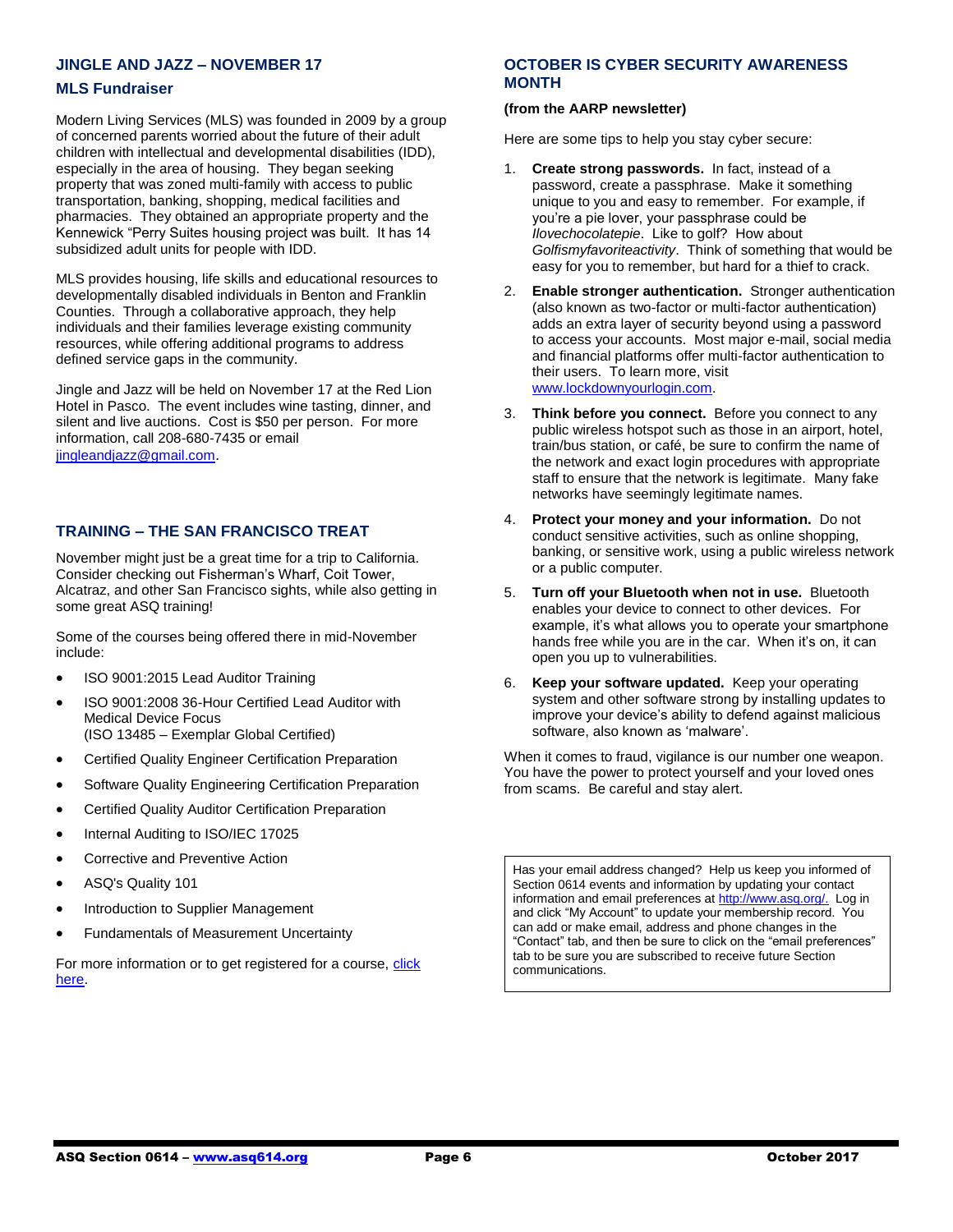# **JINGLE AND JAZZ – NOVEMBER 17**

#### **MLS Fundraiser**

Modern Living Services (MLS) was founded in 2009 by a group of concerned parents worried about the future of their adult children with intellectual and developmental disabilities (IDD), especially in the area of housing. They began seeking property that was zoned multi-family with access to public transportation, banking, shopping, medical facilities and pharmacies. They obtained an appropriate property and the Kennewick "Perry Suites housing project was built. It has 14 subsidized adult units for people with IDD.

MLS provides housing, life skills and educational resources to developmentally disabled individuals in Benton and Franklin Counties. Through a collaborative approach, they help individuals and their families leverage existing community resources, while offering additional programs to address defined service gaps in the community.

Jingle and Jazz will be held on November 17 at the Red Lion Hotel in Pasco. The event includes wine tasting, dinner, and silent and live auctions. Cost is \$50 per person. For more information, call 208-680-7435 or email [jingleandjazz@gmail.com](mailto:jingleandjazz@gmail.com).

#### **TRAINING – THE SAN FRANCISCO TREAT**

November might just be a great time for a trip to California. Consider checking out Fisherman's Wharf, Coit Tower, Alcatraz, and other San Francisco sights, while also getting in some great ASQ training!

Some of the courses being offered there in mid-November include:

- ISO 9001:2015 Lead Auditor Training
- ISO 9001:2008 36-Hour Certified Lead Auditor with Medical Device Focus (ISO 13485 – Exemplar Global Certified)
- Certified Quality Engineer Certification Preparation
- Software Quality Engineering Certification Preparation
- Certified Quality Auditor Certification Preparation
- Internal Auditing to ISO/IEC 17025
- Corrective and Preventive Action
- ASQ's Quality 101
- Introduction to Supplier Management
- Fundamentals of Measurement Uncertainty

For more information or to get registered for a course, click [here.](https://asq.org/training/catalog?loc=ca-sanfrancisco&utm_source=email&utm_medium=email&utm_campaign=marketing_training_pubcourses_100517)

#### **OCTOBER IS CYBER SECURITY AWARENESS MONTH**

#### **(from the AARP newsletter)**

Here are some tips to help you stay cyber secure:

- 1. **Create strong passwords.** In fact, instead of a password, create a passphrase. Make it something unique to you and easy to remember. For example, if you're a pie lover, your passphrase could be *Ilovechocolatepie*. Like to golf? How about *Golfismyfavoriteactivity*. Think of something that would be easy for you to remember, but hard for a thief to crack.
- 2. **Enable stronger authentication.** Stronger authentication (also known as two-factor or multi-factor authentication) adds an extra layer of security beyond using a password to access your accounts. Most major e-mail, social media and financial platforms offer multi-factor authentication to their users. To learn more, visit [www.lockdownyourlogin.com.](http://action.aarp.org/site/R?i=0lTK-MFkM0tZ-1Dwl20Jhg)
- 3. **Think before you connect.** Before you connect to any public wireless hotspot such as those in an airport, hotel, train/bus station, or café, be sure to confirm the name of the network and exact login procedures with appropriate staff to ensure that the network is legitimate. Many fake networks have seemingly legitimate names.
- 4. **Protect your money and your information.** Do not conduct sensitive activities, such as online shopping, banking, or sensitive work, using a public wireless network or a public computer.
- 5. **Turn off your Bluetooth when not in use.** Bluetooth enables your device to connect to other devices. For example, it's what allows you to operate your smartphone hands free while you are in the car. When it's on, it can open you up to vulnerabilities.
- 6. **Keep your software updated.** Keep your operating system and other software strong by installing updates to improve your device's ability to defend against malicious software, also known as 'malware'.

When it comes to fraud, vigilance is our number one weapon. You have the power to protect yourself and your loved ones from scams. Be careful and stay alert.

Has your email address changed? Help us keep you informed of Section 0614 events and information by updating your contact information and email preferences a[t http://www.asq.org/.](http://www.asq.org/) Log in and click "My Account" to update your membership record. You can add or make email, address and phone changes in the "Contact" tab, and then be sure to click on the "email preferences" tab to be sure you are subscribed to receive future Section communications.